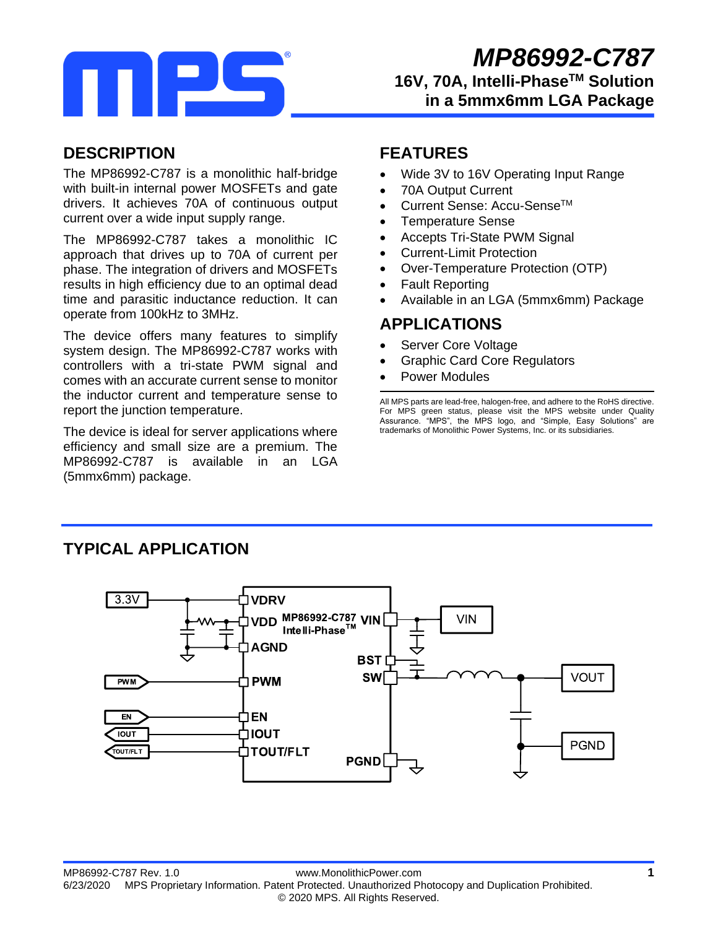

## **DESCRIPTION**

The MP86992-C787 is a monolithic half-bridge with built-in internal power MOSFETs and gate drivers. It achieves 70A of continuous output current over a wide input supply range.

The MP86992-C787 takes a monolithic IC approach that drives up to 70A of current per phase. The integration of drivers and MOSFETs results in high efficiency due to an optimal dead time and parasitic inductance reduction. It can operate from 100kHz to 3MHz.

The device offers many features to simplify system design. The MP86992-C787 works with controllers with a tri-state PWM signal and comes with an accurate current sense to monitor the inductor current and temperature sense to report the junction temperature.

The device is ideal for server applications where efficiency and small size are a premium. The MP86992-C787 is available in an LGA (5mmx6mm) package.

## **FEATURES**

- Wide 3V to 16V Operating Input Range
- 70A Output Current
- Current Sense: Accu-Sense<sup>TM</sup>
- Temperature Sense
- Accepts Tri-State PWM Signal
- Current-Limit Protection
- Over-Temperature Protection (OTP)
- Fault Reporting
- Available in an LGA (5mmx6mm) Package

### **APPLICATIONS**

- Server Core Voltage
- Graphic Card Core Regulators
- Power Modules

All MPS parts are lead-free, halogen-free, and adhere to the RoHS directive. For MPS green status, please visit the MPS website under Quality Assurance. "MPS", the MPS logo, and "Simple, Easy Solutions" are trademarks of Monolithic Power Systems, Inc. or its subsidiaries.

### **TYPICAL APPLICATION**